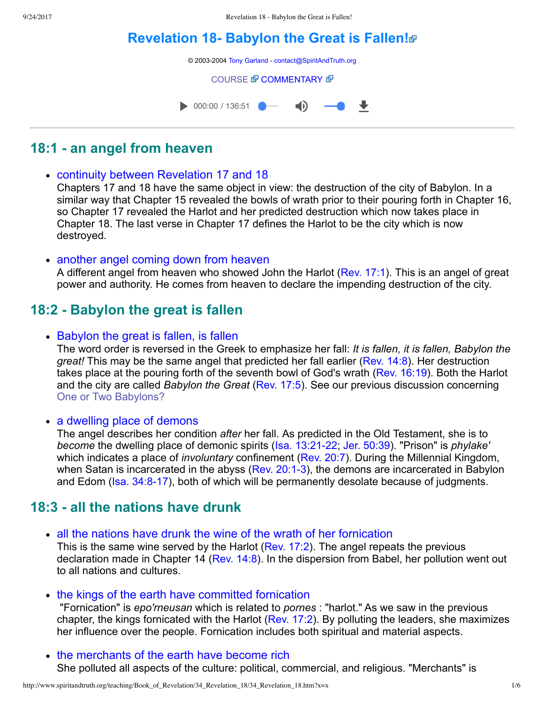# **Revelation 18- Babylon the Great is Fallen!**

© 2003-2004 [Tony Garland](http://www.spiritandtruth.org/teaching/teachers/tony_garland/bio.htm) - [contact@SpiritAndTruth.org](mailto:contact@SpiritAndTruth.org?subject=ST-MAIL:%20Revelation%2018%20-%20Babylon%20the%20Great%20is%20Fallen!) [COURSE](http://www.spiritandtruth.org/teaching/Book_of_Revelation/34_Revelation_18/index.htm) *T* [COMMENTARY](http://www.spiritandtruth.org/teaching/Book_of_Revelation/commentary/htm/index.html?Revelation_18) **T**  $\bullet$  000:00 / 136:51  $\blacksquare$ ₩

# **18:1 an angel from heaven**

continuity between Revelation [17](http://www.spiritandtruth.org/bibles/nasb/b66c017.htm#Rev._C17V1) and 18

Chapters 17 and 18 have the same object in view: the destruction of the city of Babylon. In a similar way that Chapter 15 revealed the bowls of wrath prior to their pouring forth in Chapter 16, so Chapter 17 revealed the Harlot and her predicted destruction which now takes place in Chapter 18. The last verse in Chapter 17 defines the Harlot to be the city which is now destroyed.

• another angel coming down from heaven

A different angel from heaven who showed John the Harlot ([Rev. 17:1](http://www.spiritandtruth.org/bibles/nasb/b66c017.htm#Rev._C17V1)). This is an angel of great power and authority. He comes from heaven to declare the impending destruction of the city.

## **18:2 Babylon the great is fallen**

• Babylon the great is fallen, is fallen

The word order is reversed in the Greek to emphasize her fall: *It is fallen, it is fallen, Babylon the great!* This may be the same angel that predicted her fall earlier ([Rev. 14:8](http://www.spiritandtruth.org/bibles/nasb/b66c014.htm#Rev._C14V8)). Her destruction takes place at the pouring forth of the seventh bowl of God's wrath ([Rev. 16:19\)](http://www.spiritandtruth.org/bibles/nasb/b66c016.htm#Rev._C16V19). Both the Harlot and the city are called *Babylon the Great* [\(Rev. 17:5\)](http://www.spiritandtruth.org/bibles/nasb/b66c017.htm#Rev._C17V5). See our previous discussion concerning [One or Two Babylons?](http://www.spiritandtruth.org/teaching/Book_of_Revelation/32_Babylon_and_the_Harlot/index.htm)

• a dwelling place of demons

The angel describes her condition *after* her fall. As predicted in the Old Testament, she is to *become* the dwelling place of demonic spirits (Isa. 13:21-22; [Jer. 50:39](http://www.spiritandtruth.org/bibles/nasb/b24c050.htm#Jer._C50V39)). "Prison" is *phylake'* which indicates a place of *involuntary* confinement ([Rev. 20:7\)](http://www.spiritandtruth.org/bibles/nasb/b66c020.htm#Rev._C20V7). During the Millennial Kingdom, when Satan is incarcerated in the abyss (Rev. 20:1-3), the demons are incarcerated in Babylon and Edom (Isa. 34:8-17), both of which will be permanently desolate because of judgments.

## **18:3 all the nations have drunk**

• all the nations have drunk the wine of the wrath of her fornication

This is the same wine served by the Harlot [\(Rev. 17:2\)](http://www.spiritandtruth.org/bibles/nasb/b66c017.htm#Rev._C17V2). The angel repeats the previous declaration made in Chapter 14 ([Rev. 14:8](http://www.spiritandtruth.org/bibles/nasb/b66c014.htm#Rev._C14V8)). In the dispersion from Babel, her pollution went out to all nations and cultures.

• the kings of the earth have committed fornication

 "Fornication" is *epo'rneusan* which is related to *pornes* : "harlot." As we saw in the previous chapter, the kings fornicated with the Harlot ([Rev. 17:2](http://www.spiritandtruth.org/bibles/nasb/b66c017.htm#Rev._C17V2)). By polluting the leaders, she maximizes her influence over the people. Fornication includes both spiritual and material aspects.

• the merchants of the earth have become rich She polluted all aspects of the culture: political, commercial, and religious. "Merchants" is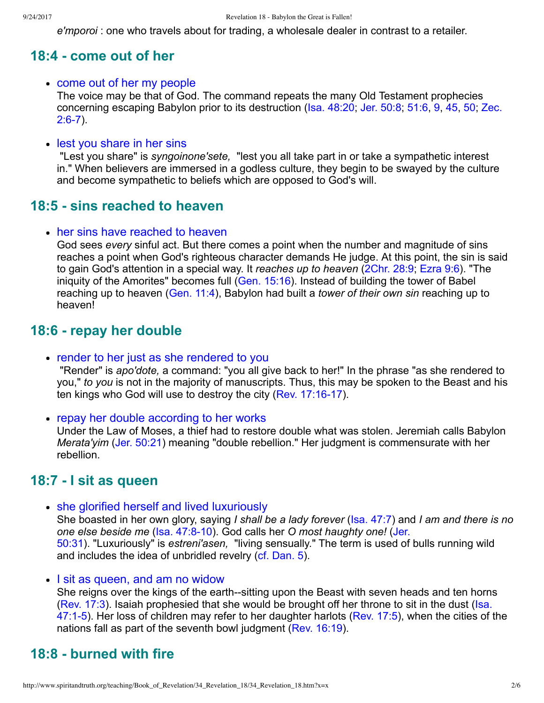*e'mporoi* : one who travels about for trading, a wholesale dealer in contrast to a retailer.

### **18:4 come out of her**

• come out of her my people

The voice may be that of God. The command repeats the many Old Testament prophecies [concerning escaping Babylon prior to its destruction \(Isa. 48:20; Jer. 50:8; 51:6, 9, 45, 50; Zec.](http://www.spiritandtruth.org/bibles/nasb/b38c002.htm#Zec._C2V6)  $2:6-7$ ).

• lest you share in her sins

 "Lest you share" is *syngoinone'sete,*  "lest you all take part in or take a sympathetic interest in." When believers are immersed in a godless culture, they begin to be swayed by the culture and become sympathetic to beliefs which are opposed to God's will.

## **18:5 - sins reached to heaven**

• her sins have reached to heaven

God sees *every* sinful act. But there comes a point when the number and magnitude of sins reaches a point when God's righteous character demands He judge. At this point, the sin is said to gain God's attention in a special way. It *reaches up to heaven* ([2Chr. 28:9](http://www.spiritandtruth.org/bibles/nasb/b14c028.htm#2Chr._C28V9); [Ezra 9:6](http://www.spiritandtruth.org/bibles/nasb/b15c009.htm#Ezra_C9V6)). "The iniquity of the Amorites" becomes full ([Gen. 15:16\)](http://www.spiritandtruth.org/bibles/nasb/b01c015.htm#Gen._C15V16). Instead of building the tower of Babel reaching up to heaven [\(Gen. 11:4](http://www.spiritandtruth.org/bibles/nasb/b01c011.htm#Gen._C11V4)), Babylon had built a *tower of their own sin* reaching up to heaven!

## **18:6 repay her double**

• render to her just as she rendered to you

 "Render" is *apo'dote,* a command: "you all give back to her!" In the phrase "as she rendered to you," *to you* is not in the majority of manuscripts. Thus, this may be spoken to the Beast and his ten kings who God will use to destroy the city (Rev. 17:16-17).

• repay her double according to her works

Under the Law of Moses, a thief had to restore double what was stolen. Jeremiah calls Babylon *Merata'yim* ([Jer. 50:21\)](http://www.spiritandtruth.org/bibles/nasb/b24c050.htm#Jer._C50V21) meaning "double rebellion." Her judgment is commensurate with her rebellion.

## **18:7 I sit as queen**

• she glorified herself and lived luxuriously

She boasted in her own glory, saying *I shall be a lady forever* ([Isa. 47:7](http://www.spiritandtruth.org/bibles/nasb/b23c047.htm#Isa._C47V7)) and *I am and there is no one else beside me* ([Isa. 47:810\)](http://www.spiritandtruth.org/bibles/nasb/b23c047.htm#Isa._C47V8). God calls her *O most haughty one!* (Jer. 50:31). "Luxuriously" is *estreni'asen,*  ["living sensually." The term is used of](http://www.spiritandtruth.org/bibles/nasb/b24c050.htm#Jer._C50V31) bulls running wild and includes the idea of unbridled revelry ([cf. Dan. 5\)](http://www.spiritandtruth.org/bibles/nasb/b27c005.htm#Dan._C5V1).

• I sit as queen, and am no widow

She reigns over the kings of the earth--sitting upon the Beast with seven heads and ten horns [\(Rev. 17:3\). Isaiah prophesied that she would be brought off her throne to sit in the dust \(Isa.](http://www.spiritandtruth.org/bibles/nasb/b23c047.htm#Isa._C47V1) 47:1-5). Her loss of children may refer to her daughter harlots [\(Rev. 17:5\)](http://www.spiritandtruth.org/bibles/nasb/b66c017.htm#Rev._C17V5), when the cities of the nations fall as part of the seventh bowl judgment [\(Rev. 16:19](http://www.spiritandtruth.org/bibles/nasb/b66c016.htm#Rev._C16V19)).

# **18:8 burned with fire**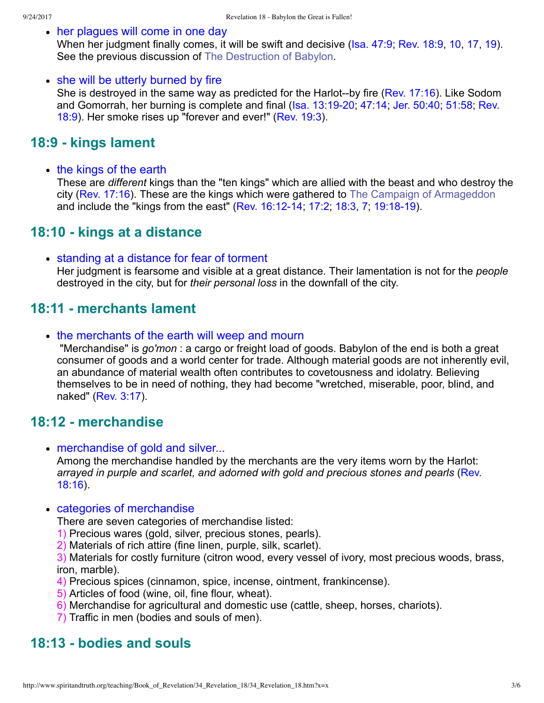### • her plaques will come in one day

When her judgment finally comes, it will be swift and decisive ([Isa. 47:9;](http://www.spiritandtruth.org/bibles/nasb/b23c047.htm#Isa._C47V9) [Rev. 18:9](http://www.spiritandtruth.org/bibles/nasb/b66c018.htm#Rev._C18V9), [10](http://www.spiritandtruth.org/bibles/nasb/b66c018.htm#Rev._C18V10), [17](http://www.spiritandtruth.org/bibles/nasb/b66c018.htm#Rev._C18V17), [19](http://www.spiritandtruth.org/bibles/nasb/b66c018.htm#Rev._C18V19)). See the previous discussion of [The Destruction of Babylon](http://www.spiritandtruth.org/teaching/Book_of_Revelation/32_Babylon_and_the_Harlot/index.htm).

### • she will be utterly burned by fire

She is destroyed in the same way as predicted for the Harlot--by fire (Rev.  $17:16$ ). Like Sodom and Gomorrah, her burning is complete and final (Isa. 13:19-20, 47:14; Jer. 50:40; 51:58; Rev. 18:9). Her smoke rises up "forever and ever!" ([Rev. 19:3](http://www.spiritandtruth.org/bibles/nasb/b66c019.htm#Rev._C19V3)).

### **18:9 kings lament**

• the kings of the earth

These are *different* kings than the "ten kings" which are allied with the beast and who destroy the city ([Rev. 17:16\)](http://www.spiritandtruth.org/bibles/nasb/b66c017.htm#Rev._C17V16). These are the kings which were gathered to [The Campaign of Armageddon](http://www.spiritandtruth.org/teaching/Book_of_Revelation/31_Revelation_16/index.htm) and include the "kings from the east" (Rev. 16:12-14, 17:2, [18:3,](http://www.spiritandtruth.org/bibles/nasb/b66c018.htm#Rev._C18V3) [7](http://www.spiritandtruth.org/bibles/nasb/b66c018.htm#Rev._C18V7), 19:18-19).

## **18:10 kings at a distance**

• standing at a distance for fear of torment Her judgment is fearsome and visible at a great distance. Their lamentation is not for the *people* destroyed in the city, but for *their personal loss* in the downfall of the city.

### **18:11 merchants lament**

• the merchants of the earth will weep and mourn

 "Merchandise" is *go'mon* : a cargo or freight load of goods. Babylon of the end is both a great consumer of goods and a world center for trade. Although material goods are not inherently evil, an abundance of material wealth often contributes to covetousness and idolatry. Believing themselves to be in need of nothing, they had become "wretched, miserable, poor, blind, and naked" [\(Rev. 3:17\)](http://www.spiritandtruth.org/bibles/nasb/b66c003.htm#Rev._C3V17).

### **18:12 merchandise**

• merchandise of gold and silver...

Among the merchandise handled by the merchants are the very items worn by the Harlot: *[arrayed in purple and scarlet, and adorned with gold and precious stones and pearls](http://www.spiritandtruth.org/bibles/nasb/b66c018.htm#Rev._C18V16)* (Rev. 18:16).

### • categories of merchandise

There are seven categories of merchandise listed:

- 1) Precious wares (gold, silver, precious stones, pearls).
- 2) Materials of rich attire (fine linen, purple, silk, scarlet).

3) Materials for costly furniture (citron wood, every vessel of ivory, most precious woods, brass, iron, marble).

- 4) Precious spices (cinnamon, spice, incense, ointment, frankincense).
- 5) Articles of food (wine, oil, fine flour, wheat).
- 6) Merchandise for agricultural and domestic use (cattle, sheep, horses, chariots).
- 7) Traffic in men (bodies and souls of men).

### **18:13 bodies and souls**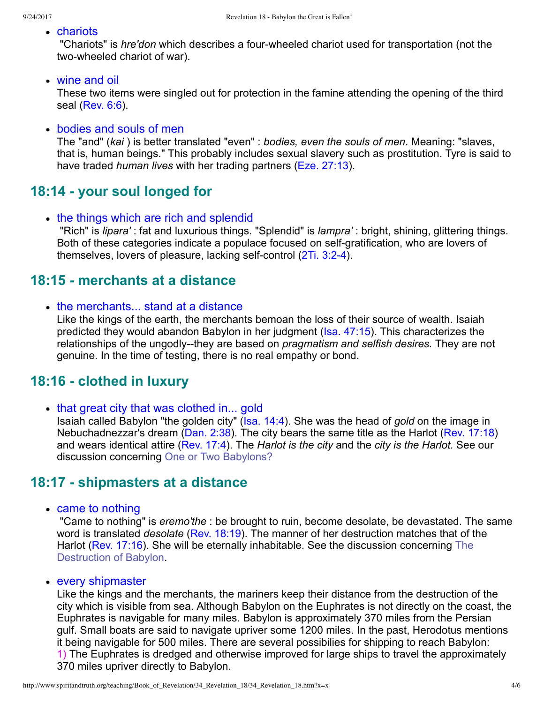### chariots

 "Chariots" is *hre'don* which describes a fourwheeled chariot used for transportation (not the two-wheeled chariot of war).

#### wine and oil

These two items were singled out for protection in the famine attending the opening of the third seal [\(Rev. 6:6\)](http://www.spiritandtruth.org/bibles/nasb/b66c006.htm#Rev._C6V6).

### bodies and souls of men

The "and" (*kai* ) is better translated "even" : *bodies, even the souls of men*. Meaning: "slaves, that is, human beings." This probably includes sexual slavery such as prostitution. Tyre is said to have traded *human lives* with her trading partners [\(Eze. 27:13\)](http://www.spiritandtruth.org/bibles/nasb/b26c027.htm#Eze._C27V13).

### **18:14 your soul longed for**

• the things which are rich and splendid "Rich" is *lipara'* : fat and luxurious things. "Splendid" is *lampra'* : bright, shining, glittering things. Both of these categories indicate a populace focused on self-gratification, who are lovers of themselves, lovers of pleasure, lacking self-control  $(2Ti. 3:2-4)$ .

### **18:15 merchants at a distance**

• the merchants... stand at a distance

Like the kings of the earth, the merchants bemoan the loss of their source of wealth. Isaiah predicted they would abandon Babylon in her judgment [\(Isa. 47:15\)](http://www.spiritandtruth.org/bibles/nasb/b23c047.htm#Isa._C47V15). This characterizes the relationships of the ungodly--they are based on *pragmatism and selfish desires*. They are not genuine. In the time of testing, there is no real empathy or bond.

### **18:16 clothed in luxury**

• that great city that was clothed in... gold

Isaiah called Babylon "the golden city" [\(Isa. 14:4](http://www.spiritandtruth.org/bibles/nasb/b23c014.htm#Isa._C14V4)). She was the head of *gold* on the image in Nebuchadnezzar's dream ([Dan. 2:38\)](http://www.spiritandtruth.org/bibles/nasb/b27c002.htm#Dan._C2V38). The city bears the same title as the Harlot [\(Rev. 17:18](http://www.spiritandtruth.org/bibles/nasb/b66c017.htm#Rev._C17V18)) and wears identical attire [\(Rev. 17:4\)](http://www.spiritandtruth.org/bibles/nasb/b66c017.htm#Rev._C17V4). The *Harlot is the city* and the *city is the Harlot.* See our discussion concerning [One or Two Babylons?](http://www.spiritandtruth.org/teaching/Book_of_Revelation/32_Babylon_and_the_Harlot/index.htm)

### **18:17 shipmasters at a distance**

• came to nothing

 "Came to nothing" is *eremo'the* : be brought to ruin, become desolate, be devastated. The same word is translated *desolate* [\(Rev. 18:19](http://www.spiritandtruth.org/bibles/nasb/b66c018.htm#Rev._C18V19)). The manner of her destruction matches that of the [Harlot \(Rev. 17:16\). She will be eternally inhabitable. See the discussion concerning The](http://www.spiritandtruth.org/teaching/Book_of_Revelation/32_Babylon_and_the_Harlot/index.htm) Destruction of Babylon.

• every shipmaster

Like the kings and the merchants, the mariners keep their distance from the destruction of the city which is visible from sea. Although Babylon on the Euphrates is not directly on the coast, the Euphrates is navigable for many miles. Babylon is approximately 370 miles from the Persian gulf. Small boats are said to navigate upriver some 1200 miles. In the past, Herodotus mentions it being navigable for 500 miles. There are several possibilies for shipping to reach Babylon: 1) The Euphrates is dredged and otherwise improved for large ships to travel the approximately 370 miles upriver directly to Babylon.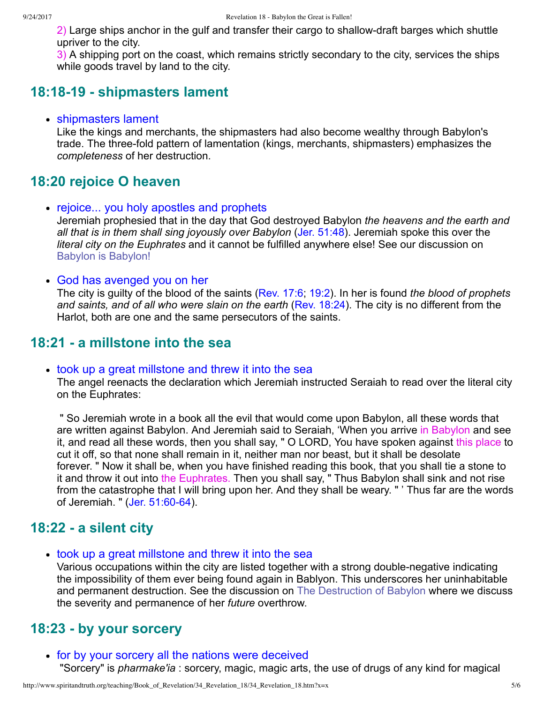2) Large ships anchor in the gulf and transfer their cargo to shallow-draft barges which shuttle upriver to the city.

3) A shipping port on the coast, which remains strictly secondary to the city, services the ships while goods travel by land to the city.

### **18:1819 shipmasters lament**

#### • shipmasters lament

Like the kings and merchants, the shipmasters had also become wealthy through Babylon's trade. The three-fold pattern of lamentation (kings, merchants, shipmasters) emphasizes the *completeness* of her destruction.

### **18:20 rejoice O heaven**

- rejoice... you holy apostles and prophets Jeremiah prophesied that in the day that God destroyed Babylon *the heavens and the earth and all that is in them shall sing joyously over Babylon* [\(Jer. 51:48\)](http://www.spiritandtruth.org/bibles/nasb/b24c051.htm#Jer._C51V48). Jeremiah spoke this over the *literal city on the Euphrates* and it cannot be fulfilled anywhere else! See our discussion on [Babylon is Babylon!](http://www.spiritandtruth.org/teaching/Book_of_Revelation/32_Babylon_and_the_Harlot/index.htm)
- God has avenged you on her

The city is guilty of the blood of the saints [\(Rev. 17:6;](http://www.spiritandtruth.org/bibles/nasb/b66c017.htm#Rev._C17V6) [19:2\)](http://www.spiritandtruth.org/bibles/nasb/b66c019.htm#Rev._C19V2). In her is found *the blood of prophets and saints, and of all who were slain on the earth* ([Rev. 18:24\)](http://www.spiritandtruth.org/bibles/nasb/b66c018.htm#Rev._C18V24). The city is no different from the Harlot, both are one and the same persecutors of the saints.

### **18:21 a millstone into the sea**

#### • took up a great millstone and threw it into the sea

The angel reenacts the declaration which Jeremiah instructed Seraiah to read over the literal city on the Euphrates:

 " So Jeremiah wrote in a book all the evil that would come upon Babylon, all these words that are written against Babylon. And Jeremiah said to Seraiah, 'When you arrive in Babylon and see it, and read all these words, then you shall say, " O LORD, You have spoken against this place to cut it off, so that none shall remain in it, neither man nor beast, but it shall be desolate forever. " Now it shall be, when you have finished reading this book, that you shall tie a stone to it and throw it out into the Euphrates. Then you shall say, " Thus Babylon shall sink and not rise from the catastrophe that I will bring upon her. And they shall be weary. " ' Thus far are the words of Jeremiah. " (Jer. 51:60-64).

### **18:22 a silent city**

took up a great millstone and threw it into the sea

Various occupations within the city are listed together with a strong double-negative indicating the impossibility of them ever being found again in Bablyon. This underscores her uninhabitable and permanent destruction. See the discussion on [The Destruction of Babylon](http://www.spiritandtruth.org/teaching/Book_of_Revelation/32_Babylon_and_the_Harlot/index.htm) where we discuss the severity and permanence of her *future* overthrow.

### **18:23 by your sorcery**

for by your sorcery all the nations were deceived "Sorcery" is *pharmake'ia* : sorcery, magic, magic arts, the use of drugs of any kind for magical